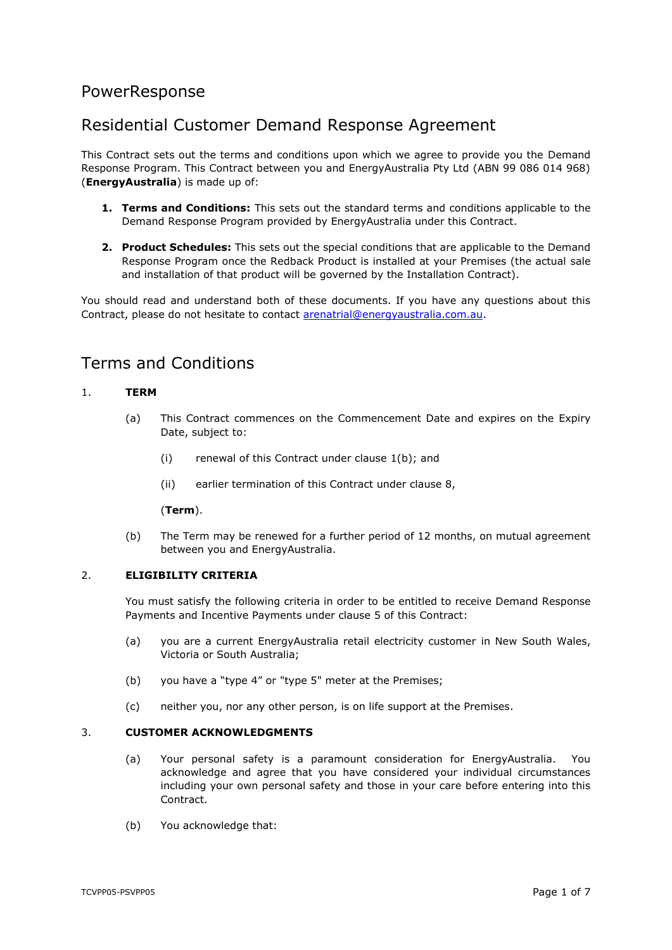# PowerResponse

# Residential Customer Demand Response Agreement

This Contract sets out the terms and conditions upon which we agree to provide you the Demand Response Program. This Contract between you and EnergyAustralia Pty Ltd (ABN 99 086 014 968) (**EnergyAustralia**) is made up of:

- **1. Terms and Conditions:** This sets out the standard terms and conditions applicable to the Demand Response Program provided by EnergyAustralia under this Contract.
- **2. Product Schedules:** This sets out the special conditions that are applicable to the Demand Response Program once the Redback Product is installed at your Premises (the actual sale and installation of that product will be governed by the Installation Contract).

You should read and understand both of these documents. If you have any questions about this Contract, please do not hesitate to contact [arenatrial@energyaustralia.com.au.](mailto:arenatrial@energyaustralia.com.au)

# Terms and Conditions

# <span id="page-0-2"></span>1. **TERM**

- (a) This Contract commences on the Commencement Date and expires on the Expiry Date, subject to:
	- (i) renewal of this Contract under clause [1\(b\);](#page-0-0) and
	- (ii) earlier termination of this Contract under clause [8,](#page-3-0)

### (**Term**).

(b) The Term may be renewed for a further period of 12 months, on mutual agreement between you and EnergyAustralia.

## <span id="page-0-1"></span><span id="page-0-0"></span>2. **ELIGIBILITY CRITERIA**

You must satisfy the following criteria in order to be entitled to receive Demand Response Payments and Incentive Payments under clause [5](#page-1-0) of this Contract:

- (a) you are a current EnergyAustralia retail electricity customer in New South Wales, Victoria or South Australia;
- (b) you have a "type 4" or "type 5" meter at the Premises;
- (c) neither you, nor any other person, is on life support at the Premises.

### 3. **CUSTOMER ACKNOWLEDGMENTS**

- (a) Your personal safety is a paramount consideration for EnergyAustralia. You acknowledge and agree that you have considered your individual circumstances including your own personal safety and those in your care before entering into this **Contract**
- (b) You acknowledge that: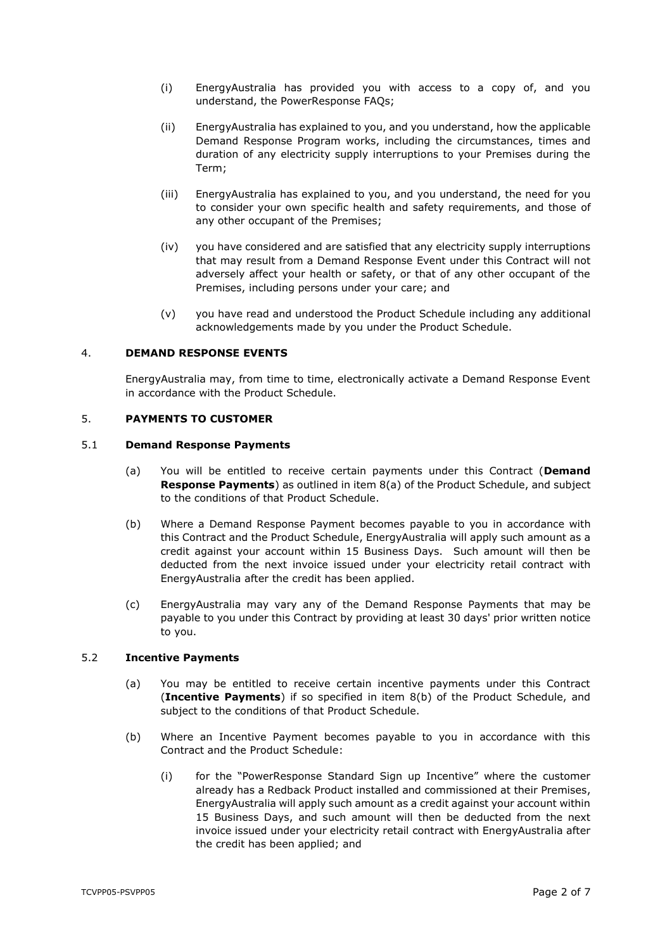- (i) EnergyAustralia has provided you with access to a copy of, and you understand, the PowerResponse FAQs;
- (ii) EnergyAustralia has explained to you, and you understand, how the applicable Demand Response Program works, including the circumstances, times and duration of any electricity supply interruptions to your Premises during the Term;
- (iii) EnergyAustralia has explained to you, and you understand, the need for you to consider your own specific health and safety requirements, and those of any other occupant of the Premises;
- (iv) you have considered and are satisfied that any electricity supply interruptions that may result from a Demand Response Event under this Contract will not adversely affect your health or safety, or that of any other occupant of the Premises, including persons under your care; and
- (v) you have read and understood the Product Schedule including any additional acknowledgements made by you under the Product Schedule.

# 4. **DEMAND RESPONSE EVENTS**

EnergyAustralia may, from time to time, electronically activate a Demand Response Event in accordance with the Product Schedule.

## <span id="page-1-0"></span>5. **PAYMENTS TO CUSTOMER**

### <span id="page-1-3"></span><span id="page-1-2"></span>5.1 **Demand Response Payments**

- (a) You will be entitled to receive certain payments under this Contract (**Demand Response Payments**) as outlined in item [8\(a\)](#page-9-0) of the Product Schedule, and subject to the conditions of that Product Schedule.
- (b) Where a Demand Response Payment becomes payable to you in accordance with this Contract and the Product Schedule, EnergyAustralia will apply such amount as a credit against your account within 15 Business Days. Such amount will then be deducted from the next invoice issued under your electricity retail contract with EnergyAustralia after the credit has been applied.
- <span id="page-1-5"></span>(c) EnergyAustralia may vary any of the Demand Response Payments that may be payable to you under this Contract by providing at least 30 days' prior written notice to you.

## <span id="page-1-4"></span>5.2 **Incentive Payments**

- (a) You may be entitled to receive certain incentive payments under this Contract (**Incentive Payments**) if so specified in item [8\(b\)](#page-9-1) of the Product Schedule, and subject to the conditions of that Product Schedule.
- <span id="page-1-1"></span>(b) Where an Incentive Payment becomes payable to you in accordance with this Contract and the Product Schedule:
	- (i) for the "PowerResponse Standard Sign up Incentive" where the customer already has a Redback Product installed and commissioned at their Premises, EnergyAustralia will apply such amount as a credit against your account within 15 Business Days, and such amount will then be deducted from the next invoice issued under your electricity retail contract with EnergyAustralia after the credit has been applied; and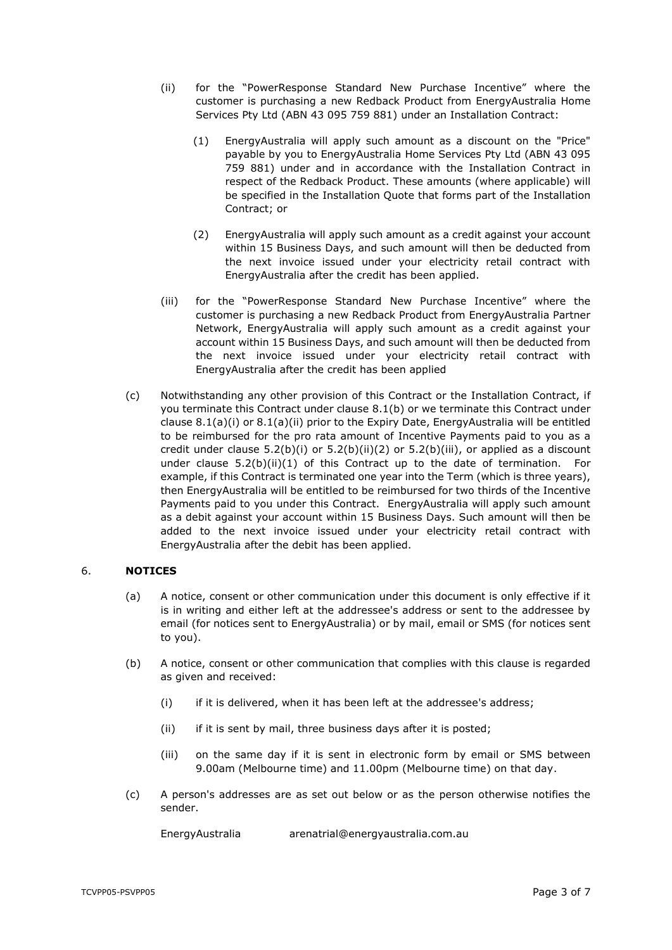- <span id="page-2-3"></span><span id="page-2-2"></span>(ii) for the "PowerResponse Standard New Purchase Incentive" where the customer is purchasing a new Redback Product from EnergyAustralia Home Services Pty Ltd (ABN 43 095 759 881) under an Installation Contract:
	- (1) EnergyAustralia will apply such amount as a discount on the "Price" payable by you to EnergyAustralia Home Services Pty Ltd (ABN 43 095 759 881) under and in accordance with the Installation Contract in respect of the Redback Product. These amounts (where applicable) will be specified in the Installation Quote that forms part of the Installation Contract; or
	- (2) EnergyAustralia will apply such amount as a credit against your account within 15 Business Days, and such amount will then be deducted from the next invoice issued under your electricity retail contract with EnergyAustralia after the credit has been applied.
- <span id="page-2-1"></span><span id="page-2-0"></span>(iii) for the "PowerResponse Standard New Purchase Incentive" where the customer is purchasing a new Redback Product from EnergyAustralia Partner Network, EnergyAustralia will apply such amount as a credit against your account within 15 Business Days, and such amount will then be deducted from the next invoice issued under your electricity retail contract with EnergyAustralia after the credit has been applied
- <span id="page-2-4"></span>(c) Notwithstanding any other provision of this Contract or the Installation Contract, if you terminate this Contract under clause [8.1\(b\)](#page-3-1) or we terminate this Contract under clause [8.1\(a\)\(i\)](#page-3-2) or [8.1\(a\)\(ii\)](#page-3-3) prior to the Expiry Date, EnergyAustralia will be entitled to be reimbursed for the pro rata amount of Incentive Payments paid to you as a credit under clause  $5.2(b)(i)$  or  $5.2(b)(ii)(2)$  $5.2(b)(ii)(2)$  or  $5.2(b)(iii)$ , or applied as a discount under clause  $5.2(b)(ii)(1)$  $5.2(b)(ii)(1)$  of this Contract up to the date of termination. For example, if this Contract is terminated one year into the Term (which is three years), then EnergyAustralia will be entitled to be reimbursed for two thirds of the Incentive Payments paid to you under this Contract. EnergyAustralia will apply such amount as a debit against your account within 15 Business Days. Such amount will then be added to the next invoice issued under your electricity retail contract with EnergyAustralia after the debit has been applied.

# 6. **NOTICES**

- (a) A notice, consent or other communication under this document is only effective if it is in writing and either left at the addressee's address or sent to the addressee by email (for notices sent to EnergyAustralia) or by mail, email or SMS (for notices sent to you).
- (b) A notice, consent or other communication that complies with this clause is regarded as given and received:
	- (i) if it is delivered, when it has been left at the addressee's address;
	- (ii) if it is sent by mail, three business days after it is posted;
	- (iii) on the same day if it is sent in electronic form by email or SMS between 9.00am (Melbourne time) and 11.00pm (Melbourne time) on that day.
- (c) A person's addresses are as set out below or as the person otherwise notifies the sender.

EnergyAustralia arenatrial@energyaustralia.com.au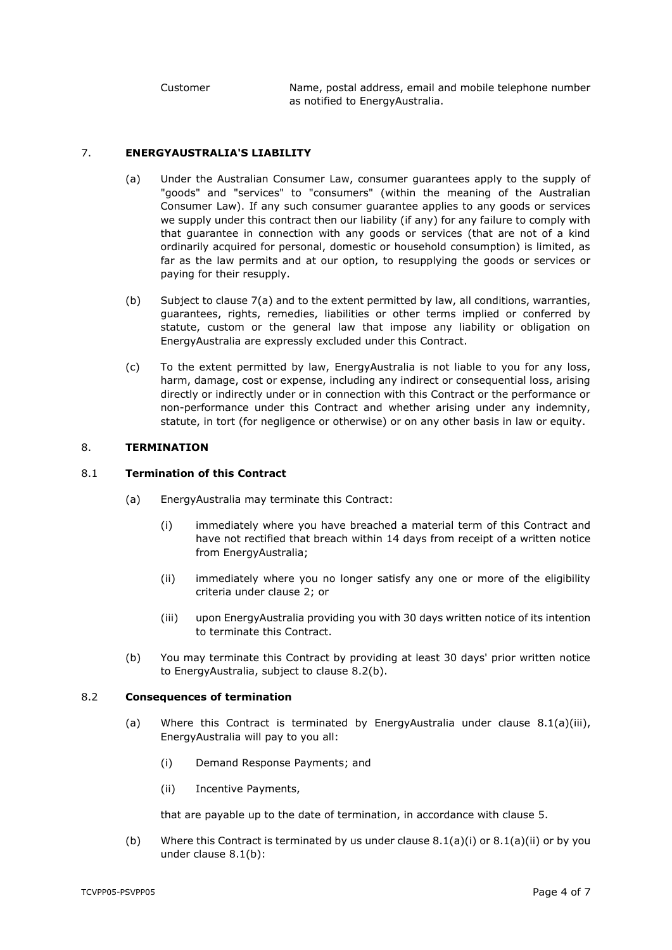Customer Name, postal address, email and mobile telephone number as notified to EnergyAustralia.

## <span id="page-3-4"></span>7. **ENERGYAUSTRALIA'S LIABILITY**

- (a) Under the Australian Consumer Law, consumer guarantees apply to the supply of "goods" and "services" to "consumers" (within the meaning of the Australian Consumer Law). If any such consumer guarantee applies to any goods or services we supply under this contract then our liability (if any) for any failure to comply with that guarantee in connection with any goods or services (that are not of a kind ordinarily acquired for personal, domestic or household consumption) is limited, as far as the law permits and at our option, to resupplying the goods or services or paying for their resupply.
- (b) Subject to clause [7\(a\)](#page-3-4) and to the extent permitted by law, all conditions, warranties, guarantees, rights, remedies, liabilities or other terms implied or conferred by statute, custom or the general law that impose any liability or obligation on EnergyAustralia are expressly excluded under this Contract.
- (c) To the extent permitted by law, EnergyAustralia is not liable to you for any loss, harm, damage, cost or expense, including any indirect or consequential loss, arising directly or indirectly under or in connection with this Contract or the performance or non-performance under this Contract and whether arising under any indemnity, statute, in tort (for negligence or otherwise) or on any other basis in law or equity.

### <span id="page-3-0"></span>8. **TERMINATION**

## <span id="page-3-2"></span>8.1 **Termination of this Contract**

- <span id="page-3-3"></span>(a) EnergyAustralia may terminate this Contract:
	- (i) immediately where you have breached a material term of this Contract and have not rectified that breach within 14 days from receipt of a written notice from EnergyAustralia;
	- (ii) immediately where you no longer satisfy any one or more of the eligibility criteria under clause [2;](#page-0-1) or
	- (iii) upon EnergyAustralia providing you with 30 days written notice of its intention to terminate this Contract.
- <span id="page-3-6"></span>(b) You may terminate this Contract by providing at least 30 days' prior written notice to EnergyAustralia, subject to clause [8.2\(b\).](#page-3-5)

### <span id="page-3-1"></span>8.2 **Consequences of termination**

- (a) Where this Contract is terminated by EnergyAustralia under clause  $8.1(a)(iii)$ , EnergyAustralia will pay to you all:
	- (i) Demand Response Payments; and
	- (ii) Incentive Payments,

that are payable up to the date of termination, in accordance with clause [5.](#page-1-0)

<span id="page-3-5"></span>(b) Where this Contract is terminated by us under clause  $8.1(a)(i)$  or  $8.1(a)(ii)$  or by you under clause [8.1\(b\):](#page-3-1)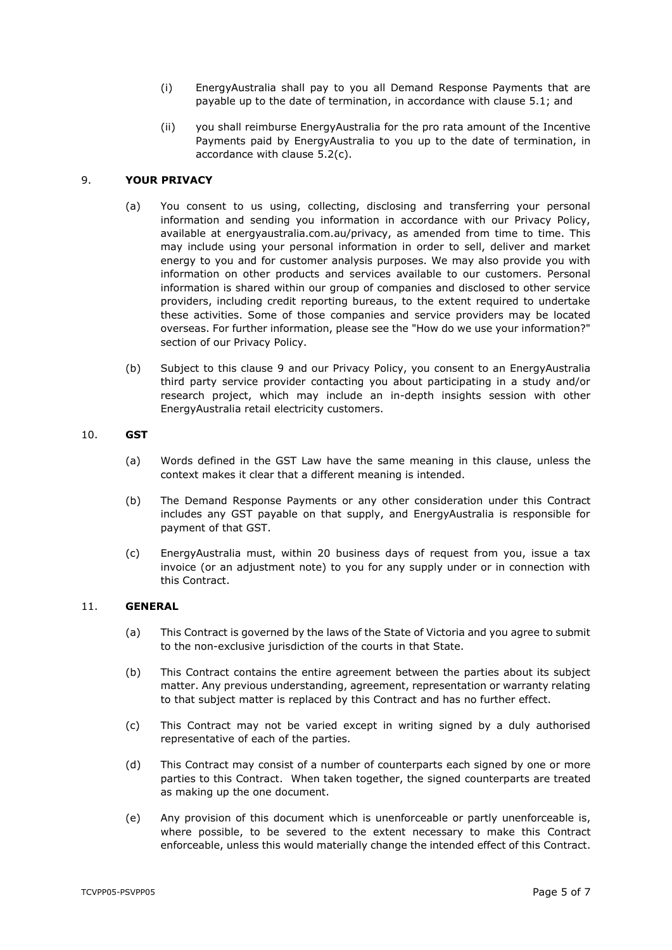- (i) EnergyAustralia shall pay to you all Demand Response Payments that are payable up to the date of termination, in accordance with clause [5.1;](#page-1-2) and
- (ii) you shall reimburse EnergyAustralia for the pro rata amount of the Incentive Payments paid by EnergyAustralia to you up to the date of termination, in accordance with clause [5.2\(c\).](#page-2-4)

## <span id="page-4-0"></span>9. **YOUR PRIVACY**

- (a) You consent to us using, collecting, disclosing and transferring your personal information and sending you information in accordance with our Privacy Policy, available at energyaustralia.com.au/privacy, as amended from time to time. This may include using your personal information in order to sell, deliver and market energy to you and for customer analysis purposes. We may also provide you with information on other products and services available to our customers. Personal information is shared within our group of companies and disclosed to other service providers, including credit reporting bureaus, to the extent required to undertake these activities. Some of those companies and service providers may be located overseas. For further information, please see the "How do we use your information?" section of our Privacy Policy.
- (b) Subject to this clause [9](#page-4-0) and our Privacy Policy, you consent to an EnergyAustralia third party service provider contacting you about participating in a study and/or research project, which may include an in-depth insights session with other EnergyAustralia retail electricity customers.

### 10. **GST**

- (a) Words defined in the GST Law have the same meaning in this clause, unless the context makes it clear that a different meaning is intended.
- (b) The Demand Response Payments or any other consideration under this Contract includes any GST payable on that supply, and EnergyAustralia is responsible for payment of that GST.
- (c) EnergyAustralia must, within 20 business days of request from you, issue a tax invoice (or an adjustment note) to you for any supply under or in connection with this Contract.

### 11. **GENERAL**

- (a) This Contract is governed by the laws of the State of Victoria and you agree to submit to the non-exclusive jurisdiction of the courts in that State.
- (b) This Contract contains the entire agreement between the parties about its subject matter. Any previous understanding, agreement, representation or warranty relating to that subject matter is replaced by this Contract and has no further effect.
- (c) This Contract may not be varied except in writing signed by a duly authorised representative of each of the parties.
- (d) This Contract may consist of a number of counterparts each signed by one or more parties to this Contract. When taken together, the signed counterparts are treated as making up the one document.
- (e) Any provision of this document which is unenforceable or partly unenforceable is, where possible, to be severed to the extent necessary to make this Contract enforceable, unless this would materially change the intended effect of this Contract.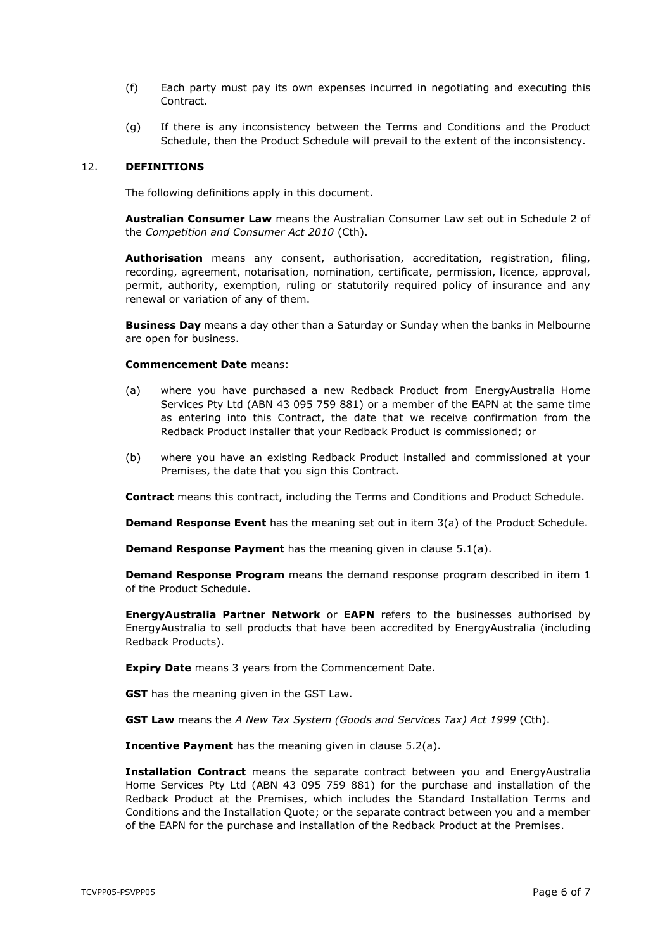- (f) Each party must pay its own expenses incurred in negotiating and executing this Contract.
- (g) If there is any inconsistency between the Terms and Conditions and the Product Schedule, then the Product Schedule will prevail to the extent of the inconsistency.

#### 12. **DEFINITIONS**

The following definitions apply in this document.

**Australian Consumer Law** means the Australian Consumer Law set out in Schedule 2 of the *Competition and Consumer Act 2010* (Cth).

**Authorisation** means any consent, authorisation, accreditation, registration, filing, recording, agreement, notarisation, nomination, certificate, permission, licence, approval, permit, authority, exemption, ruling or statutorily required policy of insurance and any renewal or variation of any of them.

**Business Day** means a day other than a Saturday or Sunday when the banks in Melbourne are open for business.

#### **Commencement Date** means:

- (a) where you have purchased a new Redback Product from EnergyAustralia Home Services Pty Ltd (ABN 43 095 759 881) or a member of the EAPN at the same time as entering into this Contract, the date that we receive confirmation from the Redback Product installer that your Redback Product is commissioned; or
- (b) where you have an existing Redback Product installed and commissioned at your Premises, the date that you sign this Contract.

**Contract** means this contract, including the Terms and Conditions and Product Schedule.

**Demand Response Event** has the meaning set out in item [3\(a\)](#page-7-0) of the Product Schedule.

**Demand Response Payment** has the meaning given in clause [5.1\(a\).](#page-1-3)

**Demand Response Program** means the demand response program described in item [1](#page-7-1) of the Product Schedule.

**EnergyAustralia Partner Network** or **EAPN** refers to the businesses authorised by EnergyAustralia to sell products that have been accredited by EnergyAustralia (including Redback Products).

**Expiry Date** means 3 years from the Commencement Date.

**GST** has the meaning given in the GST Law.

**GST Law** means the *A New Tax System (Goods and Services Tax) Act 1999* (Cth).

**Incentive Payment** has the meaning given in clause [5.2\(a\).](#page-1-4)

**Installation Contract** means the separate contract between you and EnergyAustralia Home Services Pty Ltd (ABN 43 095 759 881) for the purchase and installation of the Redback Product at the Premises, which includes the Standard Installation Terms and Conditions and the Installation Quote; or the separate contract between you and a member of the EAPN for the purchase and installation of the Redback Product at the Premises.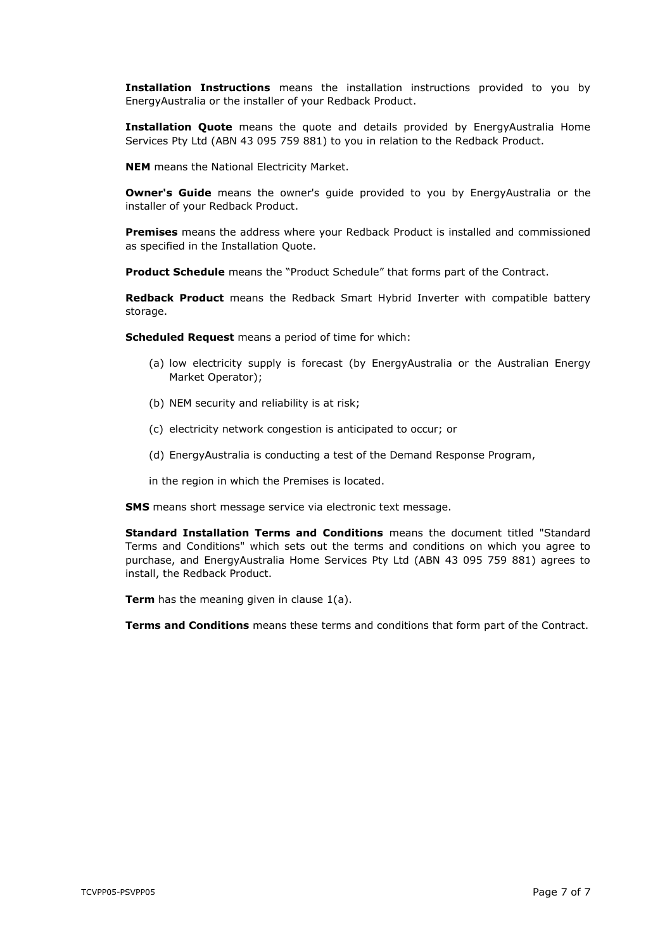**Installation Instructions** means the installation instructions provided to you by EnergyAustralia or the installer of your Redback Product.

**Installation Quote** means the quote and details provided by EnergyAustralia Home Services Pty Ltd (ABN 43 095 759 881) to you in relation to the Redback Product.

**NEM** means the National Electricity Market.

**Owner's Guide** means the owner's quide provided to you by EnergyAustralia or the installer of your Redback Product.

**Premises** means the address where your Redback Product is installed and commissioned as specified in the Installation Quote.

**Product Schedule** means the "Product Schedule" that forms part of the Contract.

**Redback Product** means the Redback Smart Hybrid Inverter with compatible battery storage.

**Scheduled Request** means a period of time for which:

- (a) low electricity supply is forecast (by EnergyAustralia or the Australian Energy Market Operator);
- (b) NEM security and reliability is at risk;
- (c) electricity network congestion is anticipated to occur; or
- (d) EnergyAustralia is conducting a test of the Demand Response Program,
- in the region in which the Premises is located.

**SMS** means short message service via electronic text message.

**Standard Installation Terms and Conditions** means the document titled "Standard Terms and Conditions" which sets out the terms and conditions on which you agree to purchase, and EnergyAustralia Home Services Pty Ltd (ABN 43 095 759 881) agrees to install, the Redback Product.

**Term** has the meaning given in clause [1\(a\).](#page-0-2)

**Terms and Conditions** means these terms and conditions that form part of the Contract.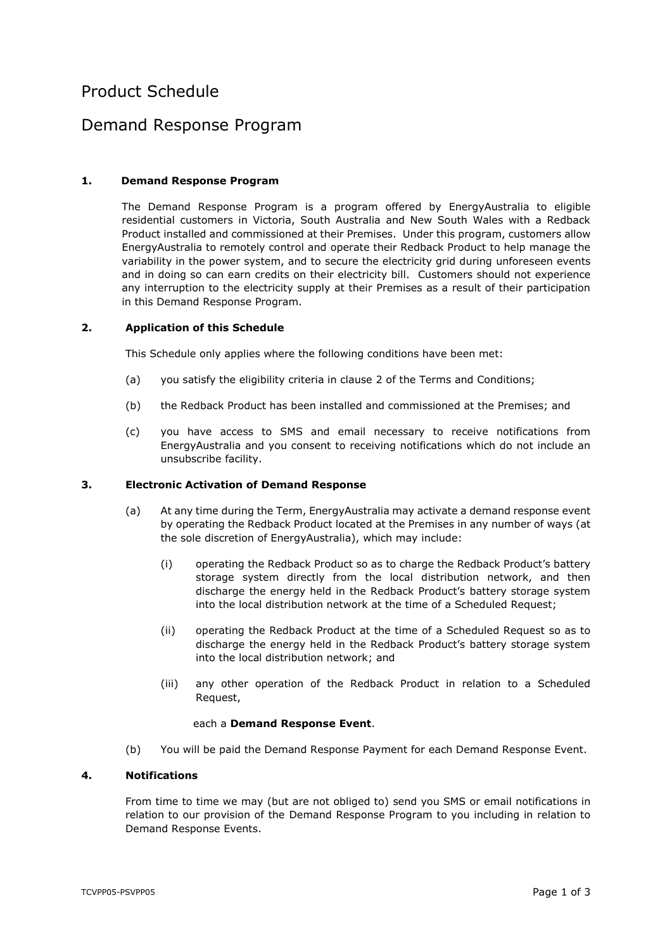# Product Schedule

# Demand Response Program

## <span id="page-7-1"></span>**1. Demand Response Program**

The Demand Response Program is a program offered by EnergyAustralia to eligible residential customers in Victoria, South Australia and New South Wales with a Redback Product installed and commissioned at their Premises. Under this program, customers allow EnergyAustralia to remotely control and operate their Redback Product to help manage the variability in the power system, and to secure the electricity grid during unforeseen events and in doing so can earn credits on their electricity bill. Customers should not experience any interruption to the electricity supply at their Premises as a result of their participation in this Demand Response Program.

### **2. Application of this Schedule**

This Schedule only applies where the following conditions have been met:

- (a) you satisfy the eligibility criteria in clause [2](#page-0-1) of the Terms and Conditions;
- (b) the Redback Product has been installed and commissioned at the Premises; and
- (c) you have access to SMS and email necessary to receive notifications from EnergyAustralia and you consent to receiving notifications which do not include an unsubscribe facility.

### <span id="page-7-0"></span>**3. Electronic Activation of Demand Response**

- (a) At any time during the Term, EnergyAustralia may activate a demand response event by operating the Redback Product located at the Premises in any number of ways (at the sole discretion of EnergyAustralia), which may include:
	- (i) operating the Redback Product so as to charge the Redback Product's battery storage system directly from the local distribution network, and then discharge the energy held in the Redback Product's battery storage system into the local distribution network at the time of a Scheduled Request;
	- (ii) operating the Redback Product at the time of a Scheduled Request so as to discharge the energy held in the Redback Product's battery storage system into the local distribution network; and
	- (iii) any other operation of the Redback Product in relation to a Scheduled Request,

### each a **Demand Response Event**.

(b) You will be paid the Demand Response Payment for each Demand Response Event.

### **4. Notifications**

From time to time we may (but are not obliged to) send you SMS or email notifications in relation to our provision of the Demand Response Program to you including in relation to Demand Response Events.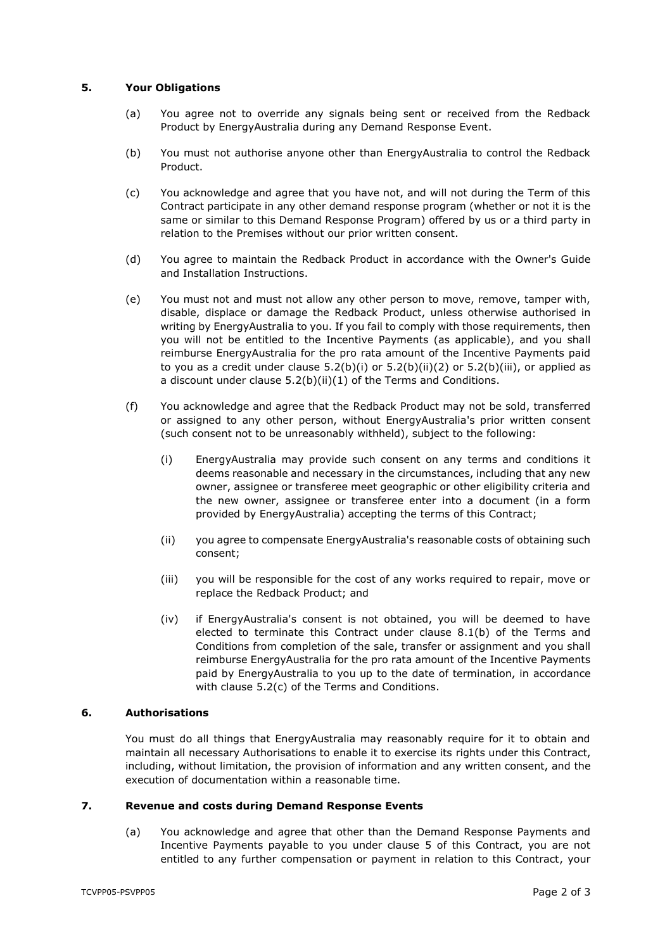## **5. Your Obligations**

- (a) You agree not to override any signals being sent or received from the Redback Product by EnergyAustralia during any Demand Response Event.
- (b) You must not authorise anyone other than EnergyAustralia to control the Redback Product.
- (c) You acknowledge and agree that you have not, and will not during the Term of this Contract participate in any other demand response program (whether or not it is the same or similar to this Demand Response Program) offered by us or a third party in relation to the Premises without our prior written consent.
- (d) You agree to maintain the Redback Product in accordance with the Owner's Guide and Installation Instructions.
- (e) You must not and must not allow any other person to move, remove, tamper with, disable, displace or damage the Redback Product, unless otherwise authorised in writing by EnergyAustralia to you. If you fail to comply with those requirements, then you will not be entitled to the Incentive Payments (as applicable), and you shall reimburse EnergyAustralia for the pro rata amount of the Incentive Payments paid to you as a credit under clause  $5.2(b)(i)$  or  $5.2(b)(ii)(2)$  $5.2(b)(ii)(2)$  or  $5.2(b)(iii)$ , or applied as a discount under clause [5.2\(b\)\(ii\)](#page-2-2)[\(1\)](#page-2-3) of the Terms and Conditions.
- (f) You acknowledge and agree that the Redback Product may not be sold, transferred or assigned to any other person, without EnergyAustralia's prior written consent (such consent not to be unreasonably withheld), subject to the following:
	- (i) EnergyAustralia may provide such consent on any terms and conditions it deems reasonable and necessary in the circumstances, including that any new owner, assignee or transferee meet geographic or other eligibility criteria and the new owner, assignee or transferee enter into a document (in a form provided by EnergyAustralia) accepting the terms of this Contract;
	- (ii) you agree to compensate EnergyAustralia's reasonable costs of obtaining such consent;
	- (iii) you will be responsible for the cost of any works required to repair, move or replace the Redback Product; and
	- (iv) if EnergyAustralia's consent is not obtained, you will be deemed to have elected to terminate this Contract under clause [8.1\(b\)](#page-3-1) of the Terms and Conditions from completion of the sale, transfer or assignment and you shall reimburse EnergyAustralia for the pro rata amount of the Incentive Payments paid by EnergyAustralia to you up to the date of termination, in accordance with clause [5.2\(c\)](#page-2-4) of the Terms and Conditions.

### **6. Authorisations**

You must do all things that EnergyAustralia may reasonably require for it to obtain and maintain all necessary Authorisations to enable it to exercise its rights under this Contract, including, without limitation, the provision of information and any written consent, and the execution of documentation within a reasonable time.

## **7. Revenue and costs during Demand Response Events**

(a) You acknowledge and agree that other than the Demand Response Payments and Incentive Payments payable to you under clause [5](#page-1-0) of this Contract, you are not entitled to any further compensation or payment in relation to this Contract, your